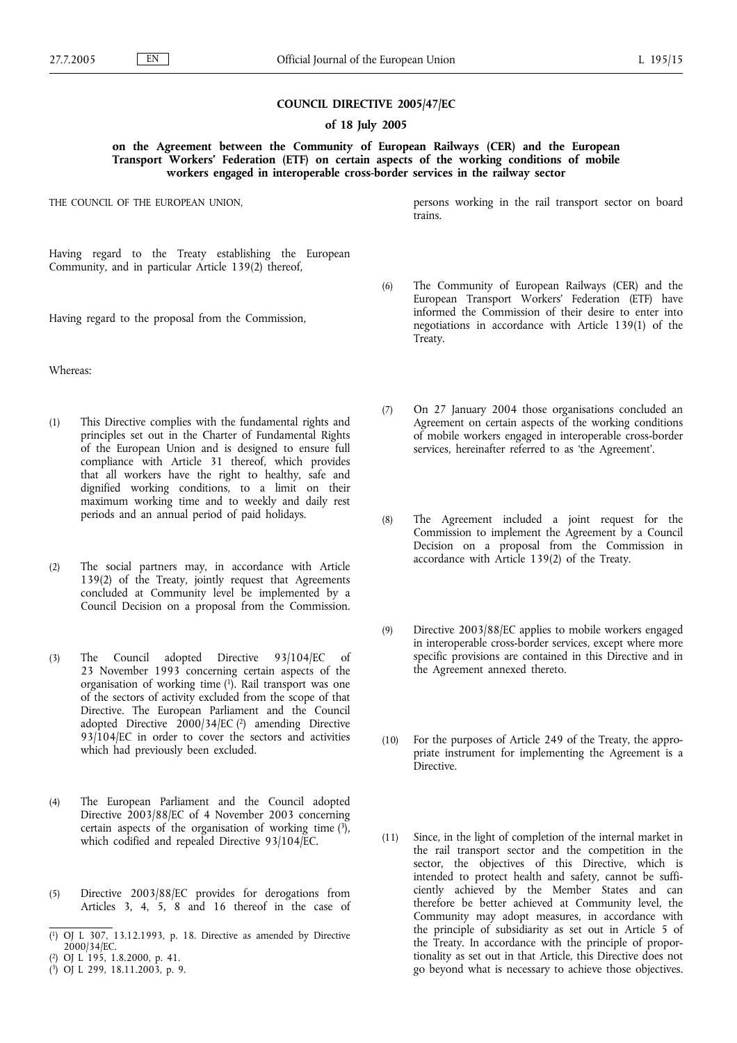# **COUNCIL DIRECTIVE 2005/47/EC**

### **of 18 July 2005**

## **on the Agreement between the Community of European Railways (CER) and the European Transport Workers***'* **Federation (ETF) on certain aspects of the working conditions of mobile workers engaged in interoperable cross-border services in the railway sector**

THE COUNCIL OF THE EUROPEAN UNION,

Having regard to the Treaty establishing the European Community, and in particular Article 139(2) thereof,

Having regard to the proposal from the Commission,

Whereas:

- (1) This Directive complies with the fundamental rights and principles set out in the Charter of Fundamental Rights of the European Union and is designed to ensure full compliance with Article 31 thereof, which provides that all workers have the right to healthy, safe and dignified working conditions, to a limit on their maximum working time and to weekly and daily rest periods and an annual period of paid holidays.
- (2) The social partners may, in accordance with Article 139(2) of the Treaty, jointly request that Agreements concluded at Community level be implemented by a Council Decision on a proposal from the Commission.
- (3) The Council adopted Directive 93/104/EC of 23 November 1993 concerning certain aspects of the organisation of working time (1). Rail transport was one of the sectors of activity excluded from the scope of that Directive. The European Parliament and the Council adopted Directive  $2000/34/EC$  (<sup>2</sup>) amending Directive 93/104/EC in order to cover the sectors and activities which had previously been excluded.
- (4) The European Parliament and the Council adopted Directive 2003/88/EC of 4 November 2003 concerning certain aspects of the organisation of working time  $(3)$ , which codified and repealed Directive 93/104/EC.
- (5) Directive 2003/88/EC provides for derogations from Articles 3, 4, 5, 8 and 16 thereof in the case of

- ( 2) OJ L 195, 1.8.2000, p. 41.
- ( 3) OJ L 299, 18.11.2003, p. 9.

persons working in the rail transport sector on board trains.

- (6) The Community of European Railways (CER) and the European Transport Workers' Federation (ETF) have informed the Commission of their desire to enter into negotiations in accordance with Article 139(1) of the Treaty.
- (7) On 27 January 2004 those organisations concluded an Agreement on certain aspects of the working conditions of mobile workers engaged in interoperable cross-border services, hereinafter referred to as 'the Agreement'.
- (8) The Agreement included a joint request for the Commission to implement the Agreement by a Council Decision on a proposal from the Commission in accordance with Article 139(2) of the Treaty.
- (9) Directive 2003/88/EC applies to mobile workers engaged in interoperable cross-border services, except where more specific provisions are contained in this Directive and in the Agreement annexed thereto.
- (10) For the purposes of Article 249 of the Treaty, the appropriate instrument for implementing the Agreement is a **Directive**
- (11) Since, in the light of completion of the internal market in the rail transport sector and the competition in the sector, the objectives of this Directive, which is intended to protect health and safety, cannot be sufficiently achieved by the Member States and can therefore be better achieved at Community level, the Community may adopt measures, in accordance with the principle of subsidiarity as set out in Article 5 of the Treaty. In accordance with the principle of proportionality as set out in that Article, this Directive does not go beyond what is necessary to achieve those objectives.

<sup>(</sup> 1) OJ L 307, 13.12.1993, p. 18. Directive as amended by Directive 2000/34/EC.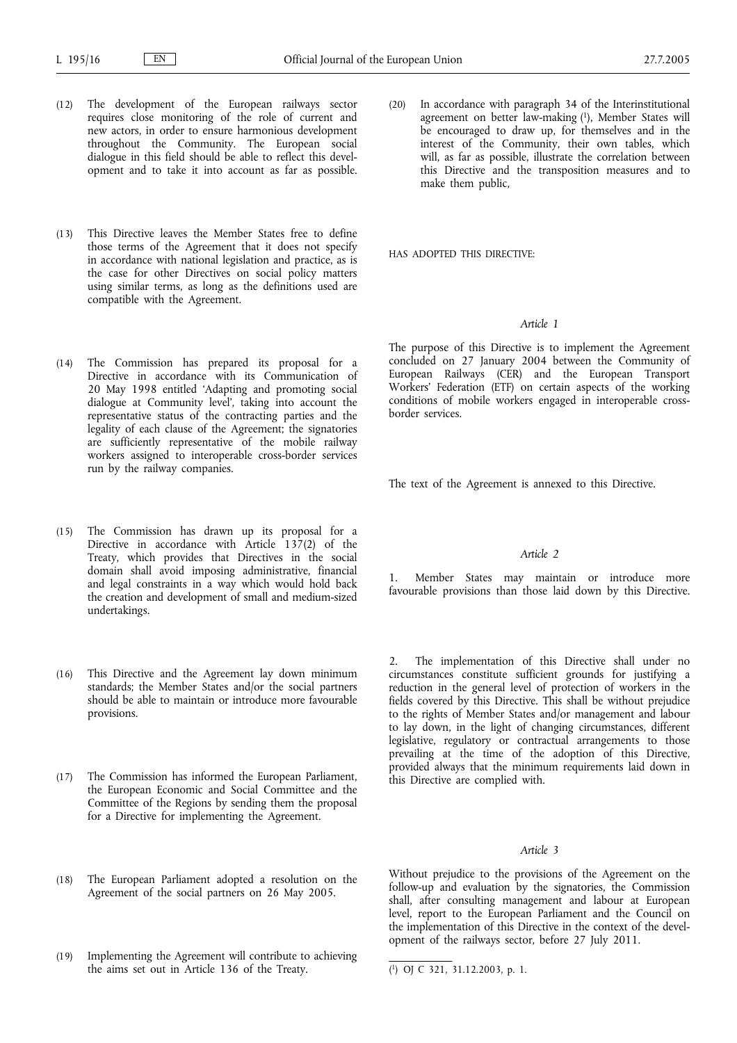- (12) The development of the European railways sector requires close monitoring of the role of current and new actors, in order to ensure harmonious development throughout the Community. The European social dialogue in this field should be able to reflect this development and to take it into account as far as possible.
- (13) This Directive leaves the Member States free to define those terms of the Agreement that it does not specify in accordance with national legislation and practice, as is the case for other Directives on social policy matters using similar terms, as long as the definitions used are compatible with the Agreement.
- (14) The Commission has prepared its proposal for a Directive in accordance with its Communication of 20 May 1998 entitled 'Adapting and promoting social dialogue at Community level', taking into account the representative status of the contracting parties and the legality of each clause of the Agreement; the signatories are sufficiently representative of the mobile railway workers assigned to interoperable cross-border services run by the railway companies.
- (15) The Commission has drawn up its proposal for a Directive in accordance with Article 137(2) of the Treaty, which provides that Directives in the social domain shall avoid imposing administrative, financial and legal constraints in a way which would hold back the creation and development of small and medium-sized undertakings.
- (16) This Directive and the Agreement lay down minimum standards; the Member States and/or the social partners should be able to maintain or introduce more favourable provisions.
- (17) The Commission has informed the European Parliament, the European Economic and Social Committee and the Committee of the Regions by sending them the proposal for a Directive for implementing the Agreement.
- (18) The European Parliament adopted a resolution on the Agreement of the social partners on 26 May 2005.
- (19) Implementing the Agreement will contribute to achieving the aims set out in Article 136 of the Treaty.

(20) In accordance with paragraph 34 of the Interinstitutional agreement on better law-making (1), Member States will be encouraged to draw up, for themselves and in the interest of the Community, their own tables, which will, as far as possible, illustrate the correlation between this Directive and the transposition measures and to make them public,

HAS ADOPTED THIS DIRECTIVE:

## *Article 1*

The purpose of this Directive is to implement the Agreement concluded on 27 January 2004 between the Community of European Railways (CER) and the European Transport Workers' Federation (ETF) on certain aspects of the working conditions of mobile workers engaged in interoperable crossborder services.

The text of the Agreement is annexed to this Directive.

## *Article 2*

1. Member States may maintain or introduce more favourable provisions than those laid down by this Directive.

2. The implementation of this Directive shall under no circumstances constitute sufficient grounds for justifying a reduction in the general level of protection of workers in the fields covered by this Directive. This shall be without prejudice to the rights of Member States and/or management and labour to lay down, in the light of changing circumstances, different legislative, regulatory or contractual arrangements to those prevailing at the time of the adoption of this Directive, provided always that the minimum requirements laid down in this Directive are complied with.

#### *Article 3*

Without prejudice to the provisions of the Agreement on the follow-up and evaluation by the signatories, the Commission shall, after consulting management and labour at European level, report to the European Parliament and the Council on the implementation of this Directive in the context of the development of the railways sector, before 27 July 2011.

<sup>(</sup> 1) OJ C 321, 31.12.2003, p. 1.